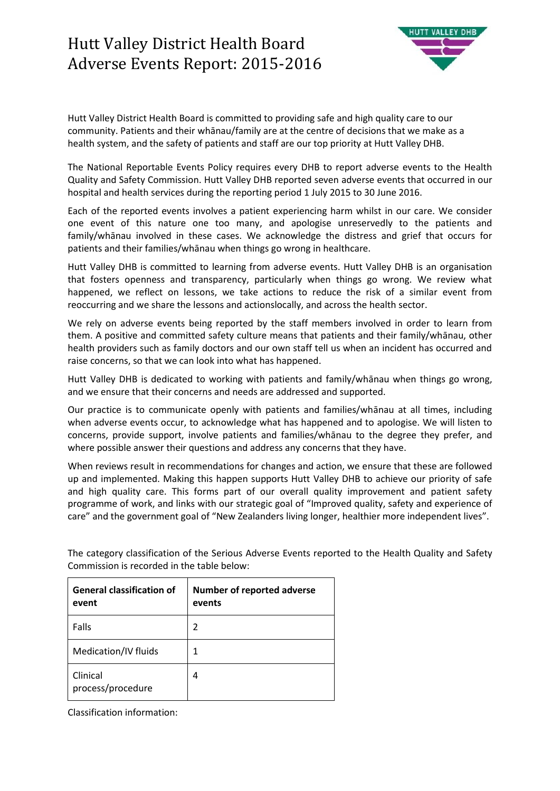

Hutt Valley District Health Board is committed to providing safe and high quality care to our community. Patients and their whānau/family are at the centre of decisions that we make as a health system, and the safety of patients and staff are our top priority at Hutt Valley DHB.

The National Reportable Events Policy requires every DHB to report adverse events to the Health Quality and Safety Commission. Hutt Valley DHB reported seven adverse events that occurred in our hospital and health services during the reporting period 1 July 2015 to 30 June 2016.

Each of the reported events involves a patient experiencing harm whilst in our care. We consider one event of this nature one too many, and apologise unreservedly to the patients and family/whānau involved in these cases. We acknowledge the distress and grief that occurs for patients and their families/whānau when things go wrong in healthcare.

Hutt Valley DHB is committed to learning from adverse events. Hutt Valley DHB is an organisation that fosters openness and transparency, particularly when things go wrong. We review what happened, we reflect on lessons, we take actions to reduce the risk of a similar event from reoccurring and we share the lessons and actionslocally, and across the health sector.

We rely on adverse events being reported by the staff members involved in order to learn from them. A positive and committed safety culture means that patients and their family/whānau, other health providers such as family doctors and our own staff tell us when an incident has occurred and raise concerns, so that we can look into what has happened.

Hutt Valley DHB is dedicated to working with patients and family/whānau when things go wrong, and we ensure that their concerns and needs are addressed and supported.

Our practice is to communicate openly with patients and families/whānau at all times, including when adverse events occur, to acknowledge what has happened and to apologise. We will listen to concerns, provide support, involve patients and families/whānau to the degree they prefer, and where possible answer their questions and address any concerns that they have.

When reviews result in recommendations for changes and action, we ensure that these are followed up and implemented. Making this happen supports Hutt Valley DHB to achieve our priority of safe and high quality care. This forms part of our overall quality improvement and patient safety programme of work, and links with our strategic goal of "Improved quality, safety and experience of care" and the government goal of "New Zealanders living longer, healthier more independent lives".

| <b>General classification of</b><br>event | <b>Number of reported adverse</b><br>events |
|-------------------------------------------|---------------------------------------------|
| Falls                                     | 2                                           |
| Medication/IV fluids                      | 1                                           |
| Clinical<br>process/procedure             | 4                                           |

The category classification of the Serious Adverse Events reported to the Health Quality and Safety Commission is recorded in the table below:

Classification information: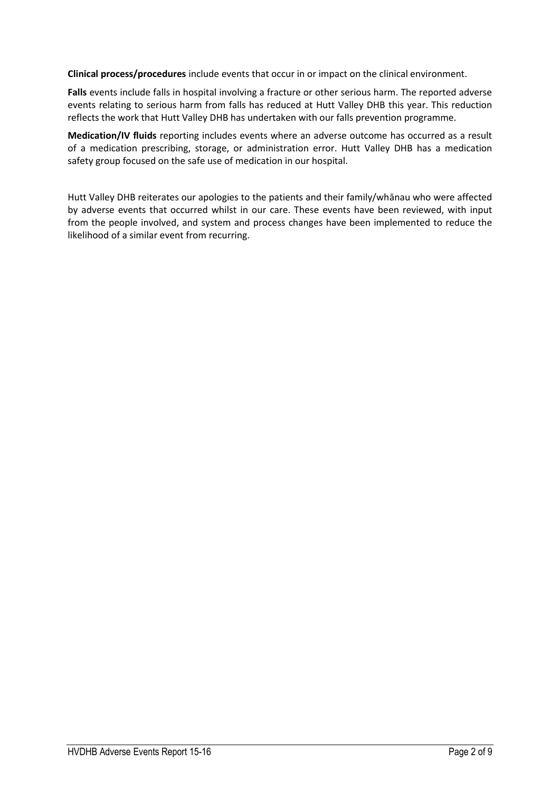**Clinical process/procedures** include events that occur in or impact on the clinical environment.

**Falls** events include falls in hospital involving a fracture or other serious harm. The reported adverse events relating to serious harm from falls has reduced at Hutt Valley DHB this year. This reduction reflects the work that Hutt Valley DHB has undertaken with our falls prevention programme.

**Medication/IV fluids** reporting includes events where an adverse outcome has occurred as a result of a medication prescribing, storage, or administration error. Hutt Valley DHB has a medication safety group focused on the safe use of medication in our hospital.

Hutt Valley DHB reiterates our apologies to the patients and their family/whānau who were affected by adverse events that occurred whilst in our care. These events have been reviewed, with input from the people involved, and system and process changes have been implemented to reduce the likelihood of a similar event from recurring.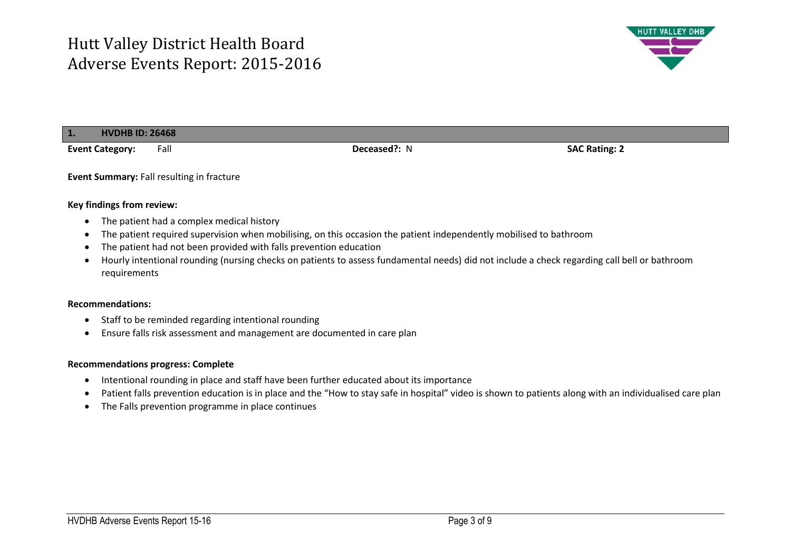

## **1. HVDHB ID: 26468**

**Event Category:** Fall **Deceased?:** N **SAC Rating: 2**

**Event Summary:** Fall resulting in fracture

### **Key findings from review:**

- The patient had a complex medical history
- The patient required supervision when mobilising, on this occasion the patient independently mobilised to bathroom
- The patient had not been provided with falls prevention education
- Hourly intentional rounding (nursing checks on patients to assess fundamental needs) did not include a check regarding call bell or bathroom requirements

### **Recommendations:**

- Staff to be reminded regarding intentional rounding
- Ensure falls risk assessment and management are documented in care plan

## **Recommendations progress: Complete**

- Intentional rounding in place and staff have been further educated about its importance
- Patient falls prevention education is in place and the "How to stay safe in hospital" video is shown to patients along with an individualised care plan
- The Falls prevention programme in place continues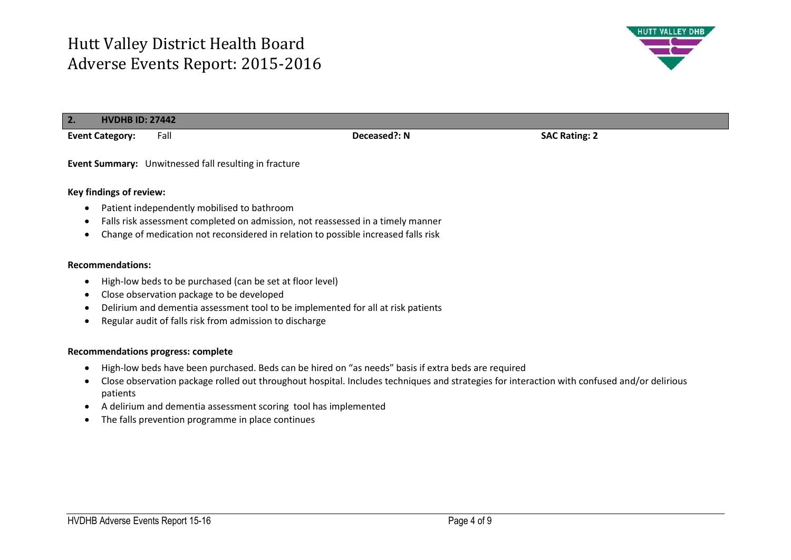

| 2.1<br><b>HVDHB ID: 27442</b>                         |              |                      |  |
|-------------------------------------------------------|--------------|----------------------|--|
| Fall<br><b>Event Category:</b>                        | Deceased?: N | <b>SAC Rating: 2</b> |  |
| Event Summary: Unwitnessed fall resulting in fracture |              |                      |  |
| <b>Key findings of review:</b>                        |              |                      |  |
| Patient independently mobilised to bathroom           |              |                      |  |

- Falls risk assessment completed on admission, not reassessed in a timely manner
- Change of medication not reconsidered in relation to possible increased falls risk

### **Recommendations:**

- High-low beds to be purchased (can be set at floor level)
- Close observation package to be developed
- Delirium and dementia assessment tool to be implemented for all at risk patients
- Regular audit of falls risk from admission to discharge

## **Recommendations progress: complete**

- High-low beds have been purchased. Beds can be hired on "as needs" basis if extra beds are required
- Close observation package rolled out throughout hospital. Includes techniques and strategies for interaction with confused and/or delirious patients
- A delirium and dementia assessment scoring tool has implemented
- The falls prevention programme in place continues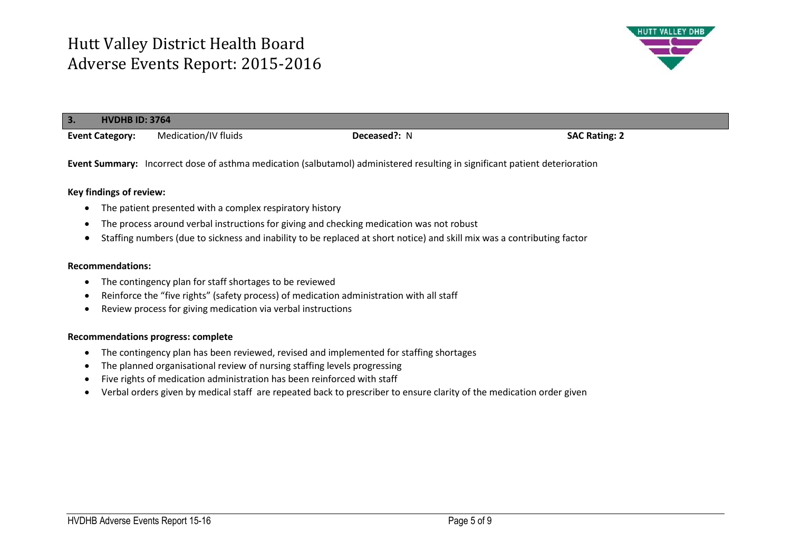

| 3. | <b>HVDHB ID: 3764</b>  |                      |              |                      |
|----|------------------------|----------------------|--------------|----------------------|
|    | <b>Event Category:</b> | Medication/IV fluids | Deceased?: N | <b>SAC Rating: 2</b> |

**Event Summary:** Incorrect dose of asthma medication (salbutamol) administered resulting in significant patient deterioration

## **Key findings of review:**

- The patient presented with a complex respiratory history
- The process around verbal instructions for giving and checking medication was not robust
- Staffing numbers (due to sickness and inability to be replaced at short notice) and skill mix was a contributing factor

### **Recommendations:**

- The contingency plan for staff shortages to be reviewed
- Reinforce the "five rights" (safety process) of medication administration with all staff
- Review process for giving medication via verbal instructions

### **Recommendations progress: complete**

- The contingency plan has been reviewed, revised and implemented for staffing shortages
- The planned organisational review of nursing staffing levels progressing
- Five rights of medication administration has been reinforced with staff
- Verbal orders given by medical staff are repeated back to prescriber to ensure clarity of the medication order given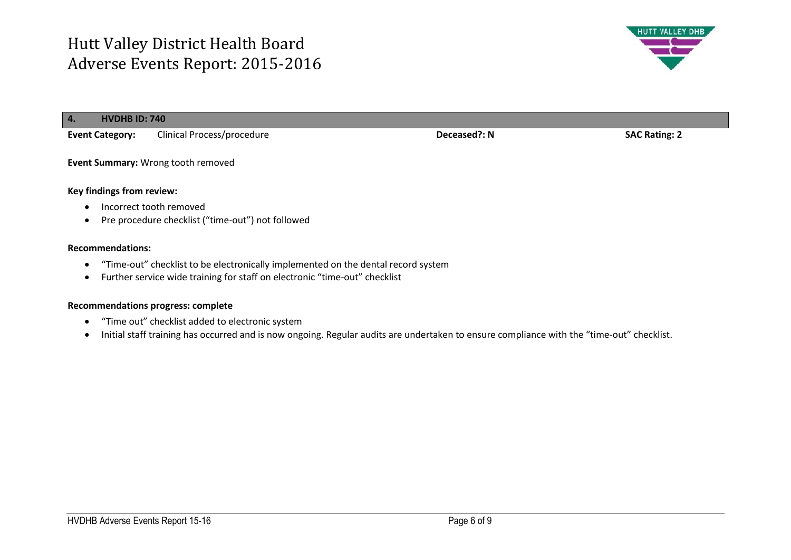

| $\overline{4}$ .<br><b>HVDHB ID: 740</b> |                            |              |                      |
|------------------------------------------|----------------------------|--------------|----------------------|
| <b>Event Category:</b>                   | Clinical Process/procedure | Deceased?: N | <b>SAC Rating: 2</b> |
| Event Summary: Wrong tooth removed       |                            |              |                      |
| Key findings from review:                |                            |              |                      |
| Incorrect tooth removed                  |                            |              |                      |

Pre procedure checklist ("time-out") not followed

# **Recommendations:**

- "Time-out" checklist to be electronically implemented on the dental record system
- Further service wide training for staff on electronic "time-out" checklist

## **Recommendations progress: complete**

- "Time out" checklist added to electronic system
- Initial staff training has occurred and is now ongoing. Regular audits are undertaken to ensure compliance with the "time-out" checklist.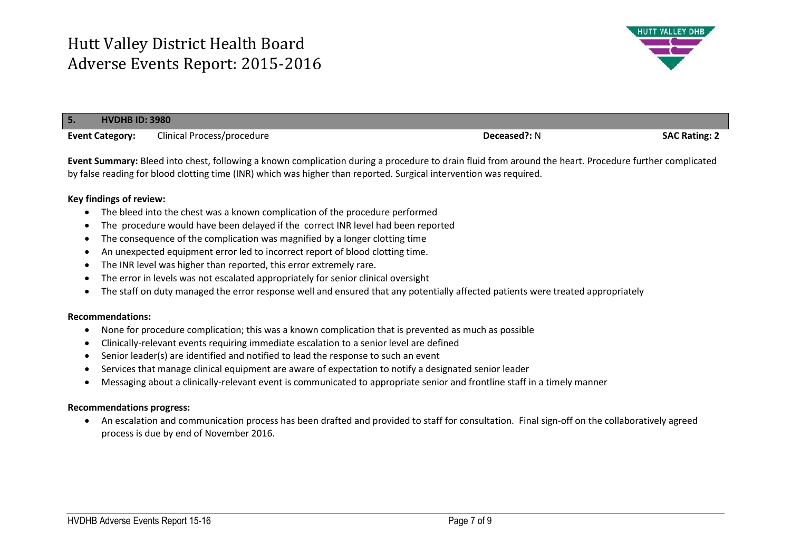

| Clinical Process/procedure | <b>SAC Rating: 2</b> |
|----------------------------|----------------------|
|                            | Deceased?: N         |

**Event Summary:** Bleed into chest, following a known complication during a procedure to drain fluid from around the heart. Procedure further complicated by false reading for blood clotting time (INR) which was higher than reported. Surgical intervention was required.

## **Key findings of review:**

- The bleed into the chest was a known complication of the procedure performed
- The procedure would have been delayed if the correct INR level had been reported
- The consequence of the complication was magnified by a longer clotting time
- An unexpected equipment error led to incorrect report of blood clotting time.
- The INR level was higher than reported, this error extremely rare.
- The error in levels was not escalated appropriately for senior clinical oversight
- The staff on duty managed the error response well and ensured that any potentially affected patients were treated appropriately

### **Recommendations:**

- None for procedure complication; this was a known complication that is prevented as much as possible
- Clinically-relevant events requiring immediate escalation to a senior level are defined
- Senior leader(s) are identified and notified to lead the response to such an event
- Services that manage clinical equipment are aware of expectation to notify a designated senior leader
- Messaging about a clinically-relevant event is communicated to appropriate senior and frontline staff in a timely manner

### **Recommendations progress:**

 An escalation and communication process has been drafted and provided to staff for consultation. Final sign-off on the collaboratively agreed process is due by end of November 2016.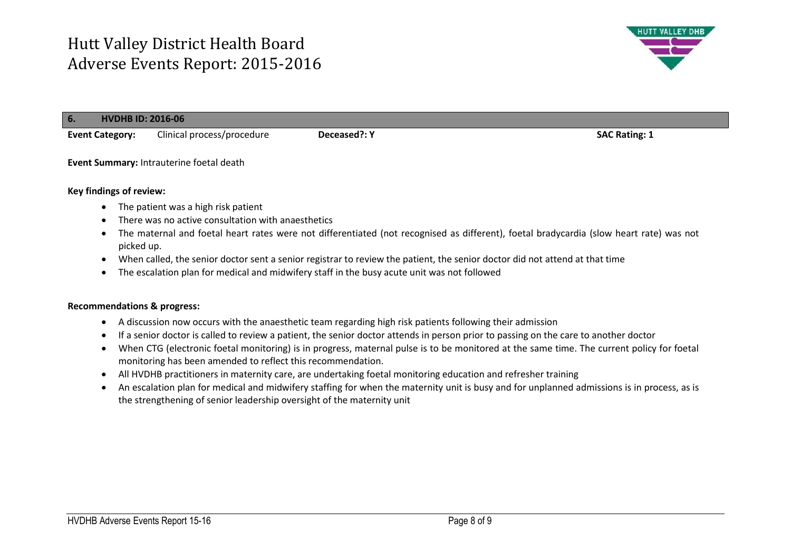

| <b>HVDHB ID: 2016-06</b><br>6. |                                          |              |                      |
|--------------------------------|------------------------------------------|--------------|----------------------|
| <b>Event Category:</b>         | Clinical process/procedure               | Deceased?: Y | <b>SAC Rating: 1</b> |
|                                | Event Summary: Intrauterine foetal death |              |                      |

## **Key findings of review:**

- The patient was a high risk patient
- There was no active consultation with anaesthetics
- The maternal and foetal heart rates were not differentiated (not recognised as different), foetal bradycardia (slow heart rate) was not picked up.
- When called, the senior doctor sent a senior registrar to review the patient, the senior doctor did not attend at that time
- The escalation plan for medical and midwifery staff in the busy acute unit was not followed

## **Recommendations & progress:**

- A discussion now occurs with the anaesthetic team regarding high risk patients following their admission
- If a senior doctor is called to review a patient, the senior doctor attends in person prior to passing on the care to another doctor
- When CTG (electronic foetal monitoring) is in progress, maternal pulse is to be monitored at the same time. The current policy for foetal monitoring has been amended to reflect this recommendation.
- All HVDHB practitioners in maternity care, are undertaking foetal monitoring education and refresher training
- An escalation plan for medical and midwifery staffing for when the maternity unit is busy and for unplanned admissions is in process, as is the strengthening of senior leadership oversight of the maternity unit